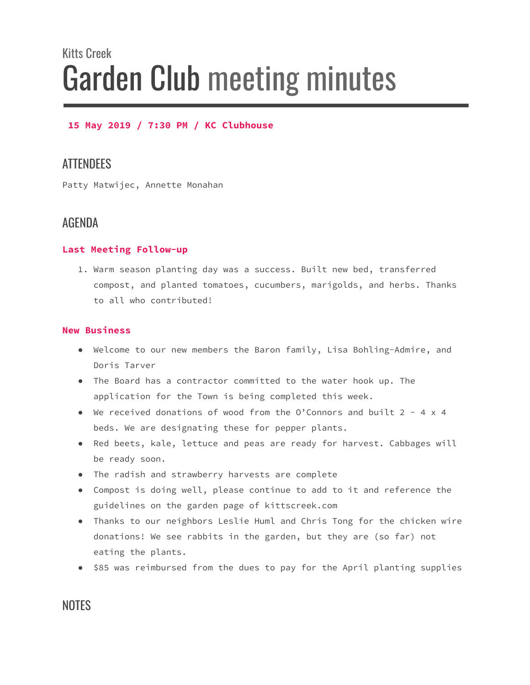# Kitts Creek Garden Club meeting minutes

#### **15 May 2019 / 7:30 PM / KC Clubhouse**

# **ATTENDEES**

Patty Matwijec, Annette Monahan

### AGENDA

#### **Last Meeting Follow-up**

1. Warm season planting day was a success. Built new bed, transferred compost, and planted tomatoes, cucumbers, marigolds, and herbs. Thanks to all who contributed!

#### **New Business**

- Welcome to our new members the Baron family, Lisa Bohling-Admire, and Doris Tarver
- The Board has a contractor committed to the water hook up. The application for the Town is being completed this week.
- We received donations of wood from the O'Connors and built 2 4 x 4 beds. We are designating these for pepper plants.
- Red beets, kale, lettuce and peas are ready for harvest. Cabbages will be ready soon.
- The radish and strawberry harvests are complete
- Compost is doing well, please continue to add to it and reference the guidelines on the garden page of kittscreek.com
- Thanks to our neighbors Leslie Huml and Chris Tong for the chicken wire donations! We see rabbits in the garden, but they are (so far) not eating the plants.
- \$85 was reimbursed from the dues to pay for the April planting supplies

## **NOTES**